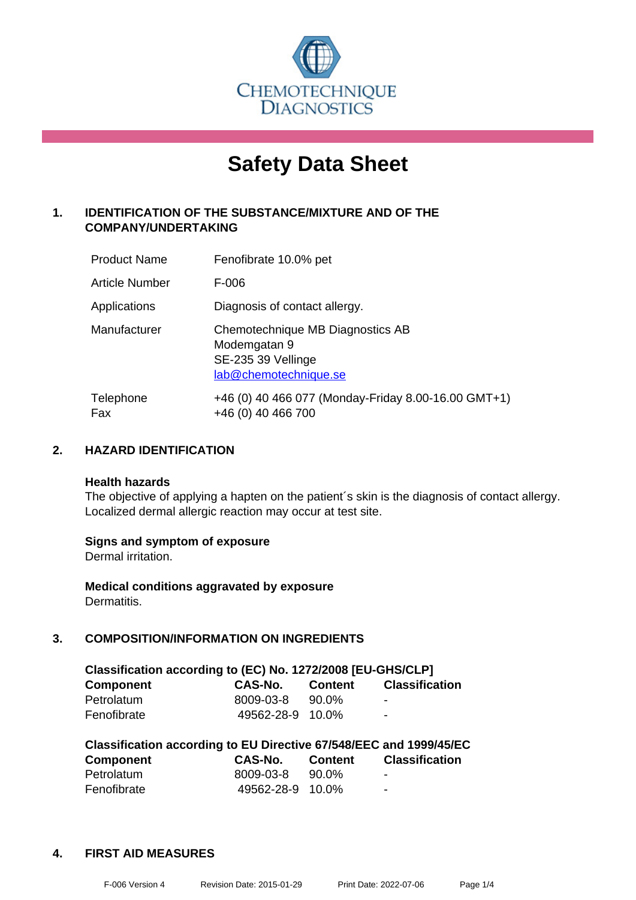

# **Safety Data Sheet**

# **1. IDENTIFICATION OF THE SUBSTANCE/MIXTURE AND OF THE COMPANY/UNDERTAKING**

| <b>Product Name</b>   | Fenofibrate 10.0% pet                                                                           |
|-----------------------|-------------------------------------------------------------------------------------------------|
| <b>Article Number</b> | F-006                                                                                           |
| Applications          | Diagnosis of contact allergy.                                                                   |
| Manufacturer          | Chemotechnique MB Diagnostics AB<br>Modemgatan 9<br>SE-235 39 Vellinge<br>lab@chemotechnique.se |
| Telephone<br>Fax      | +46 (0) 40 466 077 (Monday-Friday 8.00-16.00 GMT+1)<br>+46 (0) 40 466 700                       |

### **2. HAZARD IDENTIFICATION**

#### **Health hazards**

The objective of applying a hapten on the patient's skin is the diagnosis of contact allergy. Localized dermal allergic reaction may occur at test site.

#### **Signs and symptom of exposure**

Dermal irritation.

**Medical conditions aggravated by exposure** Dermatitis.

# **3. COMPOSITION/INFORMATION ON INGREDIENTS**

| Classification according to (EC) No. 1272/2008 [EU-GHS/CLP] |                  |                |                       |  |
|-------------------------------------------------------------|------------------|----------------|-----------------------|--|
| <b>Component</b>                                            | CAS-No.          | <b>Content</b> | <b>Classification</b> |  |
| Petrolatum                                                  | 8009-03-8        | 90.0%          | $\blacksquare$        |  |
| Fenofibrate                                                 | 49562-28-9 10.0% |                | $\blacksquare$        |  |

| Classification according to EU Directive 67/548/EEC and 1999/45/EC |                  |                |                       |  |  |
|--------------------------------------------------------------------|------------------|----------------|-----------------------|--|--|
| <b>Component</b>                                                   | CAS-No.          | <b>Content</b> | <b>Classification</b> |  |  |
| Petrolatum                                                         | 8009-03-8        | 90.0%          | -                     |  |  |
| Fenofibrate                                                        | 49562-28-9 10.0% |                | -                     |  |  |

### **4. FIRST AID MEASURES**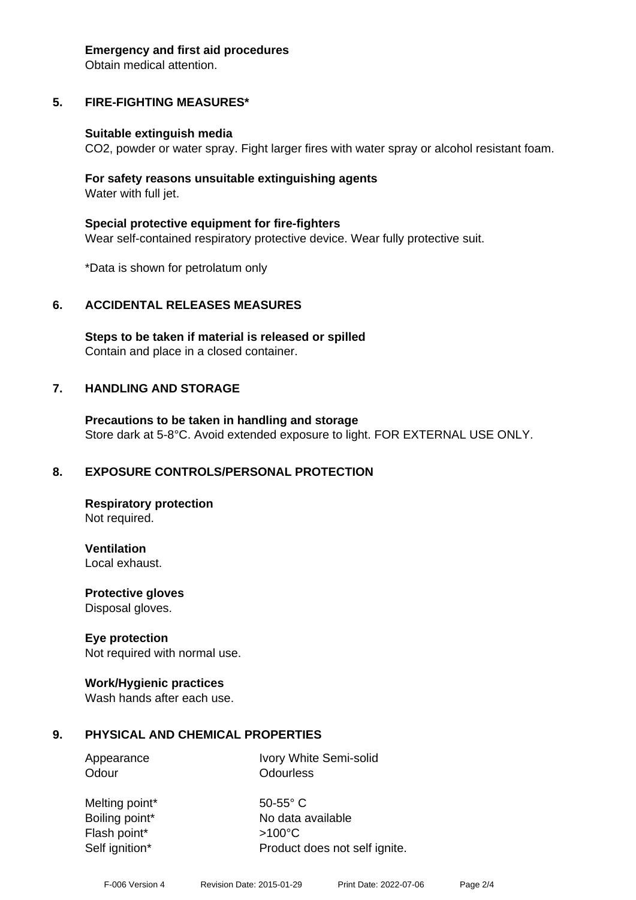#### **Emergency and first aid procedures**

Obtain medical attention.

# **5. FIRE-FIGHTING MEASURES\***

#### **Suitable extinguish media**

CO2, powder or water spray. Fight larger fires with water spray or alcohol resistant foam.

#### **For safety reasons unsuitable extinguishing agents** Water with full jet.

**Special protective equipment for fire-fighters** Wear self-contained respiratory protective device. Wear fully protective suit.

\*Data is shown for petrolatum only

#### **6. ACCIDENTAL RELEASES MEASURES**

**Steps to be taken if material is released or spilled** Contain and place in a closed container.

#### **7. HANDLING AND STORAGE**

**Precautions to be taken in handling and storage** Store dark at 5-8°C. Avoid extended exposure to light. FOR EXTERNAL USE ONLY.

#### **8. EXPOSURE CONTROLS/PERSONAL PROTECTION**

**Respiratory protection** Not required.

**Ventilation** Local exhaust.

**Protective gloves** Disposal gloves.

#### **Eye protection**

Not required with normal use.

#### **Work/Hygienic practices**

Wash hands after each use.

#### **9. PHYSICAL AND CHEMICAL PROPERTIES**

Appearance Ivory White Semi-solid Odour **Odourless** 

Melting point\* 50-55° C Flash point\* >100°C Self ignition\* Product does not self ignite.

Boiling point\* No data available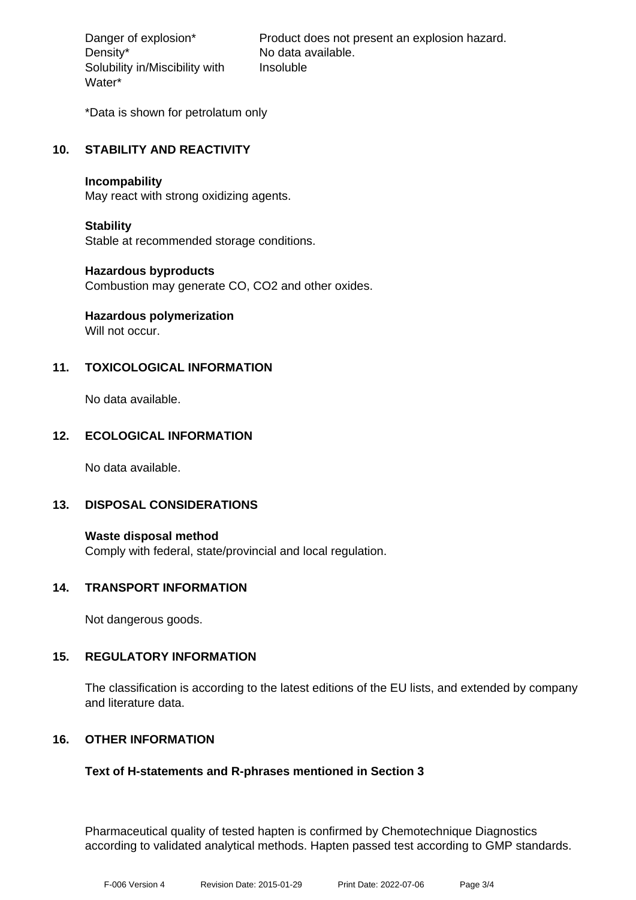Density\* No data available. Solubility in/Miscibility with Water\*

Danger of explosion\* Product does not present an explosion hazard. Insoluble

\*Data is shown for petrolatum only

# **10. STABILITY AND REACTIVITY**

#### **Incompability**

May react with strong oxidizing agents.

#### **Stability**

Stable at recommended storage conditions.

#### **Hazardous byproducts**

Combustion may generate CO, CO2 and other oxides.

# **Hazardous polymerization**

Will not occur.

# **11. TOXICOLOGICAL INFORMATION**

No data available.

# **12. ECOLOGICAL INFORMATION**

No data available.

#### **13. DISPOSAL CONSIDERATIONS**

**Waste disposal method** Comply with federal, state/provincial and local regulation.

#### **14. TRANSPORT INFORMATION**

Not dangerous goods.

#### **15. REGULATORY INFORMATION**

The classification is according to the latest editions of the EU lists, and extended by company and literature data.

#### **16. OTHER INFORMATION**

#### **Text of H-statements and R-phrases mentioned in Section 3**

Pharmaceutical quality of tested hapten is confirmed by Chemotechnique Diagnostics according to validated analytical methods. Hapten passed test according to GMP standards.